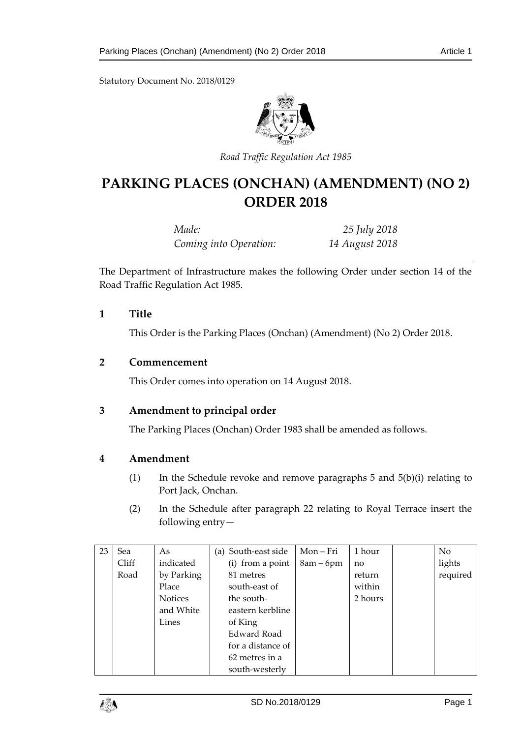Statutory Document No. 2018/0129



*Road Traffic Regulation Act 1985*

# **PARKING PLACES (ONCHAN) (AMENDMENT) (NO 2) ORDER 2018**

| Made:                  | 25 July 2018   |
|------------------------|----------------|
| Coming into Operation: | 14 August 2018 |

The Department of Infrastructure makes the following Order under section 14 of the Road Traffic Regulation Act 1985.

### **1 Title**

This Order is the Parking Places (Onchan) (Amendment) (No 2) Order 2018.

# **2 Commencement**

This Order comes into operation on 14 August 2018.

# **3 Amendment to principal order**

The Parking Places (Onchan) Order 1983 shall be amended as follows.

#### **4 Amendment**

- (1) In the Schedule revoke and remove paragraphs 5 and 5(b)(i) relating to Port Jack, Onchan.
- (2) In the Schedule after paragraph 22 relating to Royal Terrace insert the following entry—

| 23 | Sea   | As             | (a) South-east side | Mon-Fri     | 1 hour  | N <sub>o</sub> |
|----|-------|----------------|---------------------|-------------|---------|----------------|
|    | Cliff | indicated      | (i) from a point    | $8am - 6pm$ | no      | lights         |
|    | Road  | by Parking     | 81 metres           |             | return  | required       |
|    |       | Place          | south-east of       |             | within  |                |
|    |       | <b>Notices</b> | the south-          |             | 2 hours |                |
|    |       | and White      | eastern kerbline    |             |         |                |
|    |       | Lines          | of King             |             |         |                |
|    |       |                | Edward Road         |             |         |                |
|    |       |                | for a distance of   |             |         |                |
|    |       |                | 62 metres in a      |             |         |                |
|    |       |                | south-westerly      |             |         |                |

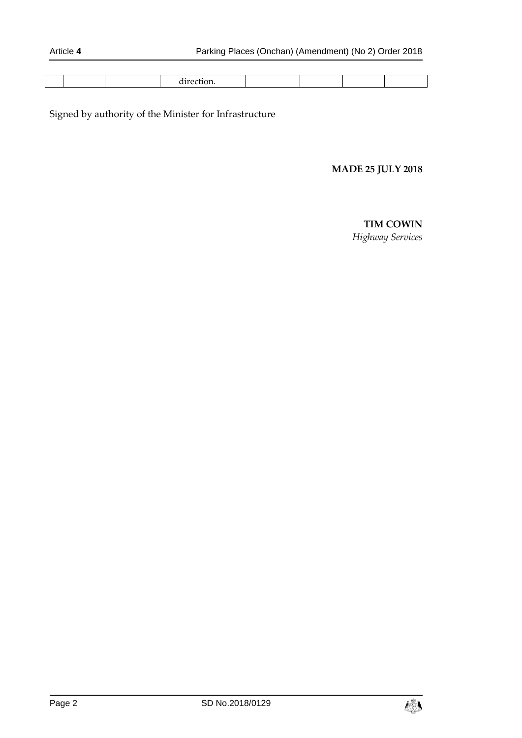|--|--|--|--|--|--|--|--|--|--|

Signed by authority of the Minister for Infrastructure

# **MADE 25 JULY 2018**

#### **TIM COWIN**

*Highway Services*